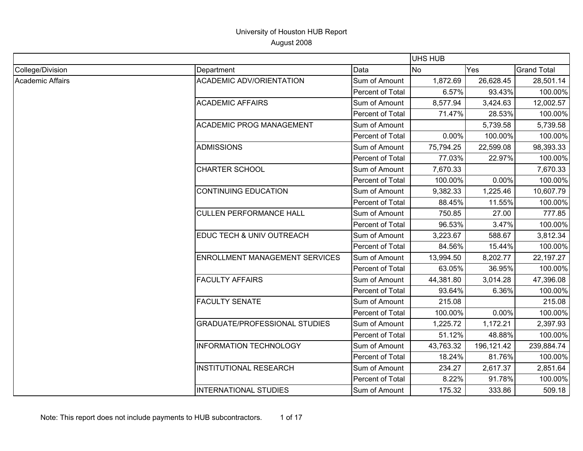|                         |                                       |                  | <b>UHS HUB</b> |            |                    |
|-------------------------|---------------------------------------|------------------|----------------|------------|--------------------|
| College/Division        | Department                            | Data             | No             | Yes        | <b>Grand Total</b> |
| <b>Academic Affairs</b> | <b>ACADEMIC ADV/ORIENTATION</b>       | Sum of Amount    | 1,872.69       | 26,628.45  | 28,501.14          |
|                         |                                       | Percent of Total | 6.57%          | 93.43%     | 100.00%            |
|                         | <b>ACADEMIC AFFAIRS</b>               | Sum of Amount    | 8,577.94       | 3,424.63   | 12,002.57          |
|                         |                                       | Percent of Total | 71.47%         | 28.53%     | 100.00%            |
|                         | <b>ACADEMIC PROG MANAGEMENT</b>       | Sum of Amount    |                | 5,739.58   | 5,739.58           |
|                         |                                       | Percent of Total | 0.00%          | 100.00%    | 100.00%            |
|                         | <b>ADMISSIONS</b>                     | Sum of Amount    | 75,794.25      | 22,599.08  | 98,393.33          |
|                         |                                       | Percent of Total | 77.03%         | 22.97%     | 100.00%            |
|                         | <b>CHARTER SCHOOL</b>                 | Sum of Amount    | 7,670.33       |            | 7,670.33           |
|                         |                                       | Percent of Total | 100.00%        | 0.00%      | 100.00%            |
|                         | <b>CONTINUING EDUCATION</b>           | Sum of Amount    | 9,382.33       | 1,225.46   | 10,607.79          |
|                         |                                       | Percent of Total | 88.45%         | 11.55%     | 100.00%            |
|                         | <b>CULLEN PERFORMANCE HALL</b>        | Sum of Amount    | 750.85         | 27.00      | 777.85             |
|                         |                                       | Percent of Total | 96.53%         | 3.47%      | 100.00%            |
|                         | EDUC TECH & UNIV OUTREACH             | Sum of Amount    | 3,223.67       | 588.67     | 3,812.34           |
|                         |                                       | Percent of Total | 84.56%         | 15.44%     | 100.00%            |
|                         | <b>ENROLLMENT MANAGEMENT SERVICES</b> | Sum of Amount    | 13,994.50      | 8,202.77   | 22,197.27          |
|                         |                                       | Percent of Total | 63.05%         | 36.95%     | 100.00%            |
|                         | <b>FACULTY AFFAIRS</b>                | Sum of Amount    | 44,381.80      | 3,014.28   | 47,396.08          |
|                         |                                       | Percent of Total | 93.64%         | 6.36%      | 100.00%            |
|                         | <b>FACULTY SENATE</b>                 | Sum of Amount    | 215.08         |            | 215.08             |
|                         |                                       | Percent of Total | 100.00%        | 0.00%      | 100.00%            |
|                         | <b>GRADUATE/PROFESSIONAL STUDIES</b>  | Sum of Amount    | 1,225.72       | 1,172.21   | 2,397.93           |
|                         |                                       | Percent of Total | 51.12%         | 48.88%     | 100.00%            |
|                         | <b>INFORMATION TECHNOLOGY</b>         | Sum of Amount    | 43,763.32      | 196,121.42 | 239,884.74         |
|                         |                                       | Percent of Total | 18.24%         | 81.76%     | 100.00%            |
|                         | <b>INSTITUTIONAL RESEARCH</b>         | Sum of Amount    | 234.27         | 2,617.37   | 2,851.64           |
|                         |                                       | Percent of Total | 8.22%          | 91.78%     | 100.00%            |
|                         | <b>INTERNATIONAL STUDIES</b>          | Sum of Amount    | 175.32         | 333.86     | 509.18             |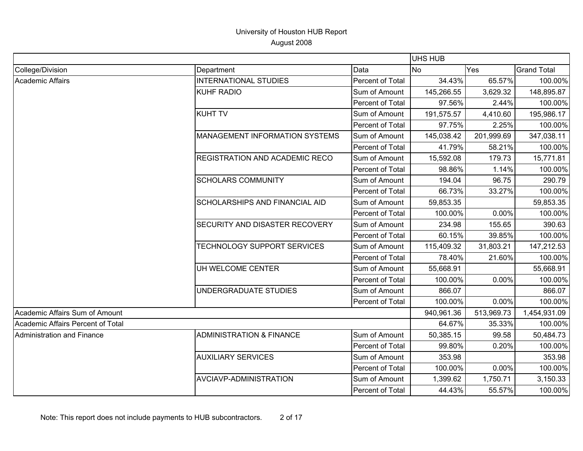|                                   |                                       |                  | UHS HUB        |            |                    |
|-----------------------------------|---------------------------------------|------------------|----------------|------------|--------------------|
| College/Division                  | Department                            | Data             | N <sub>o</sub> | Yes        | <b>Grand Total</b> |
| Academic Affairs                  | <b>INTERNATIONAL STUDIES</b>          | Percent of Total | 34.43%         | 65.57%     | 100.00%            |
|                                   | <b>KUHF RADIO</b>                     | Sum of Amount    | 145,266.55     | 3,629.32   | 148,895.87         |
|                                   |                                       | Percent of Total | 97.56%         | 2.44%      | 100.00%            |
|                                   | <b>KUHT TV</b>                        | Sum of Amount    | 191,575.57     | 4,410.60   | 195,986.17         |
|                                   |                                       | Percent of Total | 97.75%         | 2.25%      | 100.00%            |
|                                   | <b>MANAGEMENT INFORMATION SYSTEMS</b> | Sum of Amount    | 145,038.42     | 201,999.69 | 347,038.11         |
|                                   |                                       | Percent of Total | 41.79%         | 58.21%     | 100.00%            |
|                                   | <b>REGISTRATION AND ACADEMIC RECO</b> | Sum of Amount    | 15,592.08      | 179.73     | 15,771.81          |
|                                   |                                       | Percent of Total | 98.86%         | 1.14%      | 100.00%            |
|                                   | <b>SCHOLARS COMMUNITY</b>             | Sum of Amount    | 194.04         | 96.75      | 290.79             |
|                                   |                                       | Percent of Total | 66.73%         | 33.27%     | 100.00%            |
|                                   | <b>SCHOLARSHIPS AND FINANCIAL AID</b> | Sum of Amount    | 59,853.35      |            | 59,853.35          |
|                                   |                                       | Percent of Total | 100.00%        | 0.00%      | 100.00%            |
|                                   | SECURITY AND DISASTER RECOVERY        | Sum of Amount    | 234.98         | 155.65     | 390.63             |
|                                   |                                       | Percent of Total | 60.15%         | 39.85%     | 100.00%            |
|                                   | <b>TECHNOLOGY SUPPORT SERVICES</b>    | Sum of Amount    | 115,409.32     | 31,803.21  | 147,212.53         |
|                                   |                                       | Percent of Total | 78.40%         | 21.60%     | 100.00%            |
|                                   | UH WELCOME CENTER                     | Sum of Amount    | 55,668.91      |            | 55,668.91          |
|                                   |                                       | Percent of Total | 100.00%        | 0.00%      | 100.00%            |
|                                   | UNDERGRADUATE STUDIES                 | Sum of Amount    | 866.07         |            | 866.07             |
|                                   |                                       | Percent of Total | 100.00%        | 0.00%      | 100.00%            |
| Academic Affairs Sum of Amount    |                                       |                  | 940,961.36     | 513,969.73 | 1,454,931.09       |
| Academic Affairs Percent of Total |                                       |                  | 64.67%         | 35.33%     | 100.00%            |
| Administration and Finance        | <b>ADMINISTRATION &amp; FINANCE</b>   | Sum of Amount    | 50,385.15      | 99.58      | 50,484.73          |
|                                   |                                       | Percent of Total | 99.80%         | 0.20%      | 100.00%            |
|                                   | <b>AUXILIARY SERVICES</b>             | Sum of Amount    | 353.98         |            | 353.98             |
|                                   |                                       | Percent of Total | 100.00%        | 0.00%      | 100.00%            |
|                                   | AVCIAVP-ADMINISTRATION                | Sum of Amount    | 1,399.62       | 1,750.71   | 3,150.33           |
|                                   |                                       | Percent of Total | 44.43%         | 55.57%     | 100.00%            |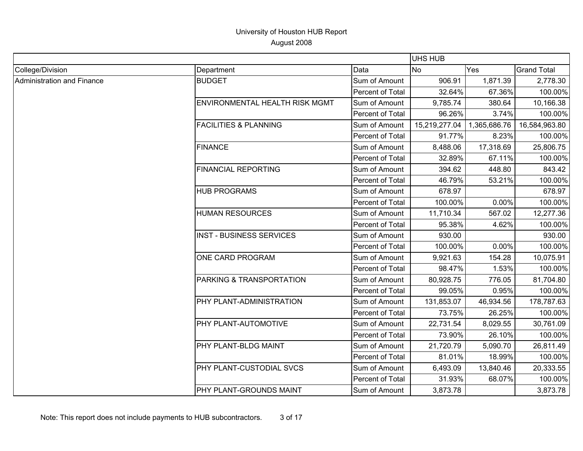|                            |                                  |                  | UHS HUB       |              |                    |
|----------------------------|----------------------------------|------------------|---------------|--------------|--------------------|
| College/Division           | Department                       | Data             | <b>No</b>     | Yes          | <b>Grand Total</b> |
| Administration and Finance | <b>BUDGET</b>                    | Sum of Amount    | 906.91        | 1,871.39     | 2,778.30           |
|                            |                                  | Percent of Total | 32.64%        | 67.36%       | 100.00%            |
|                            | ENVIRONMENTAL HEALTH RISK MGMT   | Sum of Amount    | 9,785.74      | 380.64       | 10,166.38          |
|                            |                                  | Percent of Total | 96.26%        | 3.74%        | 100.00%            |
|                            | <b>FACILITIES &amp; PLANNING</b> | Sum of Amount    | 15,219,277.04 | 1,365,686.76 | 16,584,963.80      |
|                            |                                  | Percent of Total | 91.77%        | 8.23%        | 100.00%            |
|                            | <b>FINANCE</b>                   | Sum of Amount    | 8,488.06      | 17,318.69    | 25,806.75          |
|                            |                                  | Percent of Total | 32.89%        | 67.11%       | 100.00%            |
|                            | <b>FINANCIAL REPORTING</b>       | Sum of Amount    | 394.62        | 448.80       | 843.42             |
|                            |                                  | Percent of Total | 46.79%        | 53.21%       | 100.00%            |
|                            | <b>HUB PROGRAMS</b>              | Sum of Amount    | 678.97        |              | 678.97             |
|                            |                                  | Percent of Total | 100.00%       | 0.00%        | 100.00%            |
|                            | <b>HUMAN RESOURCES</b>           | Sum of Amount    | 11,710.34     | 567.02       | 12,277.36          |
|                            |                                  | Percent of Total | 95.38%        | 4.62%        | 100.00%            |
|                            | <b>INST - BUSINESS SERVICES</b>  | Sum of Amount    | 930.00        |              | 930.00             |
|                            |                                  | Percent of Total | 100.00%       | 0.00%        | 100.00%            |
|                            | ONE CARD PROGRAM                 | Sum of Amount    | 9,921.63      | 154.28       | 10,075.91          |
|                            |                                  | Percent of Total | 98.47%        | 1.53%        | 100.00%            |
|                            | PARKING & TRANSPORTATION         | Sum of Amount    | 80,928.75     | 776.05       | 81,704.80          |
|                            |                                  | Percent of Total | 99.05%        | 0.95%        | 100.00%            |
|                            | PHY PLANT-ADMINISTRATION         | Sum of Amount    | 131,853.07    | 46,934.56    | 178,787.63         |
|                            |                                  | Percent of Total | 73.75%        | 26.25%       | 100.00%            |
|                            | PHY PLANT-AUTOMOTIVE             | Sum of Amount    | 22,731.54     | 8,029.55     | 30,761.09          |
|                            |                                  | Percent of Total | 73.90%        | 26.10%       | 100.00%            |
|                            | PHY PLANT-BLDG MAINT             | Sum of Amount    | 21,720.79     | 5,090.70     | 26,811.49          |
|                            |                                  | Percent of Total | 81.01%        | 18.99%       | 100.00%            |
|                            | <b>PHY PLANT-CUSTODIAL SVCS</b>  | Sum of Amount    | 6,493.09      | 13,840.46    | 20,333.55          |
|                            |                                  | Percent of Total | 31.93%        | 68.07%       | 100.00%            |
|                            | PHY PLANT-GROUNDS MAINT          | Sum of Amount    | 3,873.78      |              | 3,873.78           |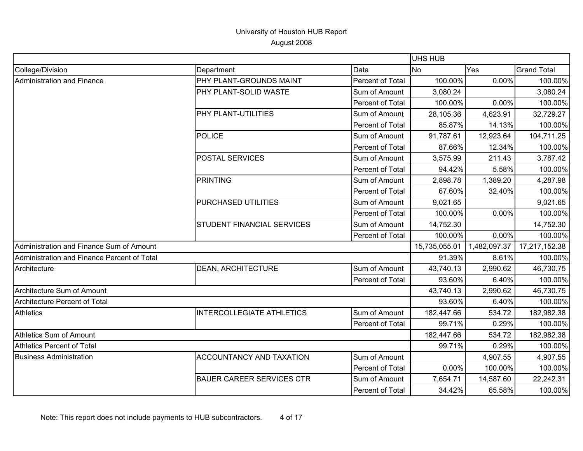|                                             |                                   |                  | UHS HUB       |              |                    |
|---------------------------------------------|-----------------------------------|------------------|---------------|--------------|--------------------|
| College/Division                            | Department                        | Data             | No            | Yes          | <b>Grand Total</b> |
| <b>Administration and Finance</b>           | PHY PLANT-GROUNDS MAINT           | Percent of Total | 100.00%       | 0.00%        | 100.00%            |
|                                             | PHY PLANT-SOLID WASTE             | Sum of Amount    | 3,080.24      |              | 3,080.24           |
|                                             |                                   | Percent of Total | 100.00%       | 0.00%        | 100.00%            |
|                                             | PHY PLANT-UTILITIES               | Sum of Amount    | 28,105.36     | 4,623.91     | 32,729.27          |
|                                             |                                   | Percent of Total | 85.87%        | 14.13%       | 100.00%            |
|                                             | POLICE                            | Sum of Amount    | 91,787.61     | 12,923.64    | 104,711.25         |
|                                             |                                   | Percent of Total | 87.66%        | 12.34%       | 100.00%            |
|                                             | <b>POSTAL SERVICES</b>            | Sum of Amount    | 3,575.99      | 211.43       | 3,787.42           |
|                                             |                                   | Percent of Total | 94.42%        | 5.58%        | 100.00%            |
|                                             | PRINTING                          | Sum of Amount    | 2,898.78      | 1,389.20     | 4,287.98           |
|                                             |                                   | Percent of Total | 67.60%        | 32.40%       | 100.00%            |
|                                             | <b>PURCHASED UTILITIES</b>        | Sum of Amount    | 9,021.65      |              | 9,021.65           |
|                                             |                                   | Percent of Total | 100.00%       | 0.00%        | 100.00%            |
|                                             | <b>STUDENT FINANCIAL SERVICES</b> | Sum of Amount    | 14,752.30     |              | 14,752.30          |
|                                             |                                   | Percent of Total | 100.00%       | 0.00%        | 100.00%            |
| Administration and Finance Sum of Amount    |                                   |                  | 15,735,055.01 | 1,482,097.37 | 17,217,152.38      |
| Administration and Finance Percent of Total |                                   |                  | 91.39%        | 8.61%        | 100.00%            |
| Architecture                                | <b>DEAN, ARCHITECTURE</b>         | Sum of Amount    | 43,740.13     | 2,990.62     | 46,730.75          |
|                                             |                                   | Percent of Total | 93.60%        | 6.40%        | 100.00%            |
| Architecture Sum of Amount                  |                                   |                  | 43,740.13     | 2,990.62     | 46,730.75          |
| Architecture Percent of Total               |                                   |                  | 93.60%        | 6.40%        | 100.00%            |
| <b>Athletics</b>                            | <b>INTERCOLLEGIATE ATHLETICS</b>  | Sum of Amount    | 182,447.66    | 534.72       | 182,982.38         |
|                                             |                                   | Percent of Total | 99.71%        | 0.29%        | 100.00%            |
| <b>Athletics Sum of Amount</b>              |                                   |                  | 182,447.66    | 534.72       | 182,982.38         |
| Athletics Percent of Total                  |                                   |                  | 99.71%        | 0.29%        | 100.00%            |
| <b>Business Administration</b>              | <b>ACCOUNTANCY AND TAXATION</b>   | Sum of Amount    |               | 4,907.55     | 4,907.55           |
|                                             |                                   | Percent of Total | 0.00%         | 100.00%      | 100.00%            |
|                                             | <b>BAUER CAREER SERVICES CTR</b>  | Sum of Amount    | 7,654.71      | 14,587.60    | 22,242.31          |
|                                             |                                   | Percent of Total | 34.42%        | 65.58%       | 100.00%            |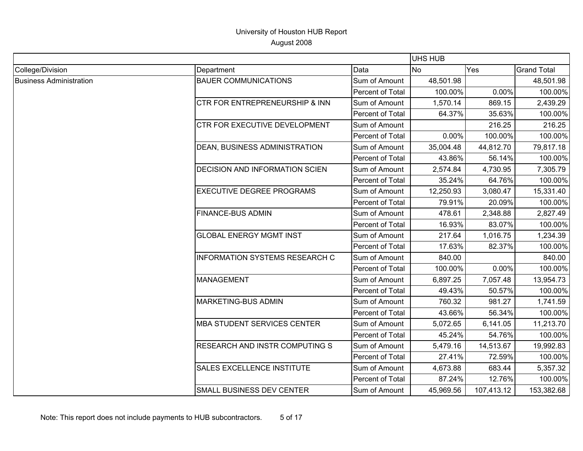|                                |                                       |                  | <b>UHS HUB</b> |            |                    |
|--------------------------------|---------------------------------------|------------------|----------------|------------|--------------------|
| College/Division               | Department                            | Data             | N <sub>o</sub> | Yes        | <b>Grand Total</b> |
| <b>Business Administration</b> | <b>BAUER COMMUNICATIONS</b>           | Sum of Amount    | 48,501.98      |            | 48,501.98          |
|                                |                                       | Percent of Total | 100.00%        | 0.00%      | 100.00%            |
|                                | CTR FOR ENTREPRENEURSHIP & INN        | Sum of Amount    | 1,570.14       | 869.15     | 2,439.29           |
|                                |                                       | Percent of Total | 64.37%         | 35.63%     | 100.00%            |
|                                | <b>CTR FOR EXECUTIVE DEVELOPMENT</b>  | Sum of Amount    |                | 216.25     | 216.25             |
|                                |                                       | Percent of Total | 0.00%          | 100.00%    | 100.00%            |
|                                | DEAN, BUSINESS ADMINISTRATION         | Sum of Amount    | 35,004.48      | 44,812.70  | 79,817.18          |
|                                |                                       | Percent of Total | 43.86%         | 56.14%     | 100.00%            |
|                                | DECISION AND INFORMATION SCIEN        | Sum of Amount    | 2,574.84       | 4,730.95   | 7,305.79           |
|                                |                                       | Percent of Total | 35.24%         | 64.76%     | 100.00%            |
|                                | <b>EXECUTIVE DEGREE PROGRAMS</b>      | Sum of Amount    | 12,250.93      | 3,080.47   | 15,331.40          |
|                                |                                       | Percent of Total | 79.91%         | 20.09%     | 100.00%            |
|                                | <b>FINANCE-BUS ADMIN</b>              | Sum of Amount    | 478.61         | 2,348.88   | 2,827.49           |
|                                |                                       | Percent of Total | 16.93%         | 83.07%     | 100.00%            |
|                                | <b>GLOBAL ENERGY MGMT INST</b>        | Sum of Amount    | 217.64         | 1,016.75   | 1,234.39           |
|                                |                                       | Percent of Total | 17.63%         | 82.37%     | 100.00%            |
|                                | <b>INFORMATION SYSTEMS RESEARCH C</b> | Sum of Amount    | 840.00         |            | 840.00             |
|                                |                                       | Percent of Total | 100.00%        | 0.00%      | 100.00%            |
|                                | <b>MANAGEMENT</b>                     | Sum of Amount    | 6,897.25       | 7,057.48   | 13,954.73          |
|                                |                                       | Percent of Total | 49.43%         | 50.57%     | 100.00%            |
|                                | MARKETING-BUS ADMIN                   | Sum of Amount    | 760.32         | 981.27     | 1,741.59           |
|                                |                                       | Percent of Total | 43.66%         | 56.34%     | 100.00%            |
|                                | <b>MBA STUDENT SERVICES CENTER</b>    | Sum of Amount    | 5,072.65       | 6,141.05   | 11,213.70          |
|                                |                                       | Percent of Total | 45.24%         | 54.76%     | 100.00%            |
|                                | RESEARCH AND INSTR COMPUTING S        | Sum of Amount    | 5,479.16       | 14,513.67  | 19,992.83          |
|                                |                                       | Percent of Total | 27.41%         | 72.59%     | 100.00%            |
|                                | SALES EXCELLENCE INSTITUTE            | Sum of Amount    | 4,673.88       | 683.44     | 5,357.32           |
|                                |                                       | Percent of Total | 87.24%         | 12.76%     | 100.00%            |
|                                | <b>SMALL BUSINESS DEV CENTER</b>      | Sum of Amount    | 45,969.56      | 107,413.12 | 153,382.68         |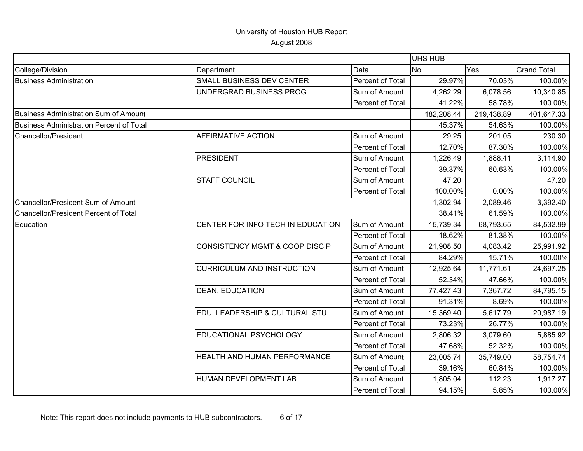|                                                 |                                           |                  | UHS HUB    |            |                    |
|-------------------------------------------------|-------------------------------------------|------------------|------------|------------|--------------------|
| College/Division                                | Department                                | Data             | <b>No</b>  | Yes        | <b>Grand Total</b> |
| <b>Business Administration</b>                  | SMALL BUSINESS DEV CENTER                 | Percent of Total | 29.97%     | 70.03%     | 100.00%            |
|                                                 | UNDERGRAD BUSINESS PROG                   | Sum of Amount    | 4,262.29   | 6,078.56   | 10,340.85          |
|                                                 |                                           | Percent of Total | 41.22%     | 58.78%     | 100.00%            |
| <b>Business Administration Sum of Amount</b>    |                                           |                  | 182,208.44 | 219,438.89 | 401,647.33         |
| <b>Business Administration Percent of Total</b> |                                           |                  | 45.37%     | 54.63%     | 100.00%            |
| <b>Chancellor/President</b>                     | <b>AFFIRMATIVE ACTION</b>                 | Sum of Amount    | 29.25      | 201.05     | 230.30             |
|                                                 |                                           | Percent of Total | 12.70%     | 87.30%     | 100.00%            |
|                                                 | <b>PRESIDENT</b>                          | Sum of Amount    | 1,226.49   | 1,888.41   | 3,114.90           |
|                                                 |                                           | Percent of Total | 39.37%     | 60.63%     | 100.00%            |
|                                                 | <b>STAFF COUNCIL</b>                      | Sum of Amount    | 47.20      |            | 47.20              |
|                                                 |                                           | Percent of Total | 100.00%    | 0.00%      | 100.00%            |
| Chancellor/President Sum of Amount              |                                           |                  | 1,302.94   | 2,089.46   | 3,392.40           |
| Chancellor/President Percent of Total           |                                           |                  | 38.41%     | 61.59%     | 100.00%            |
| Education                                       | CENTER FOR INFO TECH IN EDUCATION         | Sum of Amount    | 15,739.34  | 68,793.65  | 84,532.99          |
|                                                 |                                           | Percent of Total | 18.62%     | 81.38%     | 100.00%            |
|                                                 | <b>CONSISTENCY MGMT &amp; COOP DISCIP</b> | Sum of Amount    | 21,908.50  | 4,083.42   | 25,991.92          |
|                                                 |                                           | Percent of Total | 84.29%     | 15.71%     | 100.00%            |
|                                                 | <b>CURRICULUM AND INSTRUCTION</b>         | Sum of Amount    | 12,925.64  | 11,771.61  | 24,697.25          |
|                                                 |                                           | Percent of Total | 52.34%     | 47.66%     | 100.00%            |
|                                                 | <b>DEAN, EDUCATION</b>                    | Sum of Amount    | 77,427.43  | 7,367.72   | 84,795.15          |
|                                                 |                                           | Percent of Total | 91.31%     | 8.69%      | 100.00%            |
|                                                 | EDU. LEADERSHIP & CULTURAL STU            | Sum of Amount    | 15,369.40  | 5,617.79   | 20,987.19          |
|                                                 |                                           | Percent of Total | 73.23%     | 26.77%     | 100.00%            |
|                                                 | EDUCATIONAL PSYCHOLOGY                    | Sum of Amount    | 2,806.32   | 3,079.60   | 5,885.92           |
|                                                 |                                           | Percent of Total | 47.68%     | 52.32%     | 100.00%            |
|                                                 | <b>HEALTH AND HUMAN PERFORMANCE</b>       | Sum of Amount    | 23,005.74  | 35,749.00  | 58,754.74          |
|                                                 |                                           | Percent of Total | 39.16%     | 60.84%     | 100.00%            |
|                                                 | HUMAN DEVELOPMENT LAB                     | Sum of Amount    | 1,805.04   | 112.23     | 1,917.27           |
|                                                 |                                           | Percent of Total | 94.15%     | 5.85%      | 100.00%            |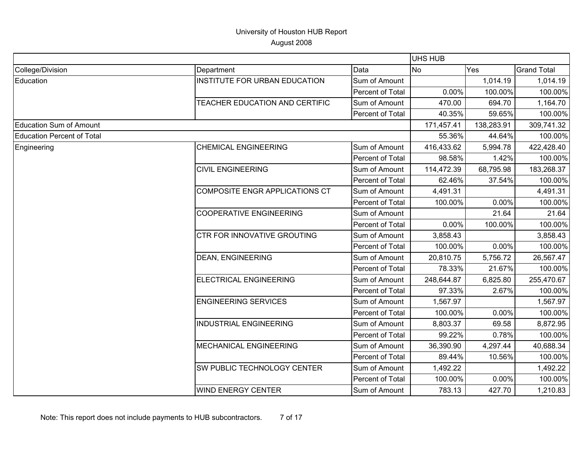|                                   |                                       |                  | <b>UHS HUB</b> |            |                    |
|-----------------------------------|---------------------------------------|------------------|----------------|------------|--------------------|
| College/Division                  | Department                            | Data             | <b>No</b>      | Yes        | <b>Grand Total</b> |
| Education                         | <b>INSTITUTE FOR URBAN EDUCATION</b>  | Sum of Amount    |                | 1,014.19   | 1,014.19           |
|                                   |                                       | Percent of Total | 0.00%          | 100.00%    | 100.00%            |
|                                   | TEACHER EDUCATION AND CERTIFIC        | Sum of Amount    | 470.00         | 694.70     | 1,164.70           |
|                                   |                                       | Percent of Total | 40.35%         | 59.65%     | 100.00%            |
| <b>Education Sum of Amount</b>    |                                       |                  | 171,457.41     | 138,283.91 | 309,741.32         |
| <b>Education Percent of Total</b> |                                       |                  | 55.36%         | 44.64%     | 100.00%            |
| Engineering                       | <b>CHEMICAL ENGINEERING</b>           | Sum of Amount    | 416,433.62     | 5,994.78   | 422,428.40         |
|                                   |                                       | Percent of Total | 98.58%         | 1.42%      | 100.00%            |
|                                   | <b>CIVIL ENGINEERING</b>              | Sum of Amount    | 114,472.39     | 68,795.98  | 183,268.37         |
|                                   |                                       | Percent of Total | 62.46%         | 37.54%     | 100.00%            |
|                                   | <b>COMPOSITE ENGR APPLICATIONS CT</b> | Sum of Amount    | 4,491.31       |            | 4,491.31           |
|                                   |                                       | Percent of Total | 100.00%        | 0.00%      | 100.00%            |
|                                   | <b>COOPERATIVE ENGINEERING</b>        | Sum of Amount    |                | 21.64      | 21.64              |
|                                   |                                       | Percent of Total | 0.00%          | 100.00%    | 100.00%            |
|                                   | <b>CTR FOR INNOVATIVE GROUTING</b>    | Sum of Amount    | 3,858.43       |            | 3,858.43           |
|                                   |                                       | Percent of Total | 100.00%        | 0.00%      | 100.00%            |
|                                   | <b>DEAN, ENGINEERING</b>              | Sum of Amount    | 20,810.75      | 5,756.72   | 26,567.47          |
|                                   |                                       | Percent of Total | 78.33%         | 21.67%     | 100.00%            |
|                                   | ELECTRICAL ENGINEERING                | Sum of Amount    | 248,644.87     | 6,825.80   | 255,470.67         |
|                                   |                                       | Percent of Total | 97.33%         | 2.67%      | 100.00%            |
|                                   | <b>ENGINEERING SERVICES</b>           | Sum of Amount    | 1,567.97       |            | 1,567.97           |
|                                   |                                       | Percent of Total | 100.00%        | 0.00%      | 100.00%            |
|                                   | <b>INDUSTRIAL ENGINEERING</b>         | Sum of Amount    | 8,803.37       | 69.58      | 8,872.95           |
|                                   |                                       | Percent of Total | 99.22%         | 0.78%      | 100.00%            |
|                                   | <b>MECHANICAL ENGINEERING</b>         | Sum of Amount    | 36,390.90      | 4,297.44   | 40,688.34          |
|                                   |                                       | Percent of Total | 89.44%         | 10.56%     | 100.00%            |
|                                   | <b>SW PUBLIC TECHNOLOGY CENTER</b>    | Sum of Amount    | 1,492.22       |            | 1,492.22           |
|                                   |                                       | Percent of Total | 100.00%        | 0.00%      | 100.00%            |
|                                   | <b>WIND ENERGY CENTER</b>             | Sum of Amount    | 783.13         | 427.70     | 1,210.83           |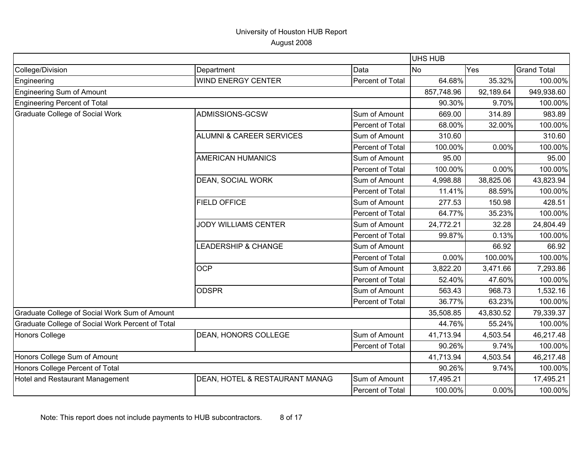|                                                  |                                     |                  | <b>UHS HUB</b> |           |                    |
|--------------------------------------------------|-------------------------------------|------------------|----------------|-----------|--------------------|
| College/Division                                 | Department                          | Data             | <b>No</b>      | Yes       | <b>Grand Total</b> |
| Engineering                                      | <b>WIND ENERGY CENTER</b>           | Percent of Total | 64.68%         | 35.32%    | 100.00%            |
| <b>Engineering Sum of Amount</b>                 |                                     |                  | 857,748.96     | 92,189.64 | 949,938.60         |
| <b>Engineering Percent of Total</b>              |                                     |                  | 90.30%         | 9.70%     | 100.00%            |
| <b>Graduate College of Social Work</b>           | ADMISSIONS-GCSW                     | Sum of Amount    | 669.00         | 314.89    | 983.89             |
|                                                  |                                     | Percent of Total | 68.00%         | 32.00%    | 100.00%            |
|                                                  | <b>ALUMNI &amp; CAREER SERVICES</b> | Sum of Amount    | 310.60         |           | 310.60             |
|                                                  |                                     | Percent of Total | 100.00%        | 0.00%     | 100.00%            |
|                                                  | <b>AMERICAN HUMANICS</b>            | Sum of Amount    | 95.00          |           | 95.00              |
|                                                  |                                     | Percent of Total | 100.00%        | 0.00%     | 100.00%            |
|                                                  | DEAN, SOCIAL WORK                   | Sum of Amount    | 4,998.88       | 38,825.06 | 43,823.94          |
|                                                  |                                     | Percent of Total | 11.41%         | 88.59%    | 100.00%            |
|                                                  | <b>FIELD OFFICE</b>                 | Sum of Amount    | 277.53         | 150.98    | 428.51             |
|                                                  |                                     | Percent of Total | 64.77%         | 35.23%    | 100.00%            |
|                                                  | <b>JODY WILLIAMS CENTER</b>         | Sum of Amount    | 24,772.21      | 32.28     | 24,804.49          |
|                                                  |                                     | Percent of Total | 99.87%         | 0.13%     | 100.00%            |
|                                                  | LEADERSHIP & CHANGE                 | Sum of Amount    |                | 66.92     | 66.92              |
|                                                  |                                     | Percent of Total | $0.00\%$       | 100.00%   | 100.00%            |
|                                                  | <b>OCP</b>                          | Sum of Amount    | 3,822.20       | 3,471.66  | 7,293.86           |
|                                                  |                                     | Percent of Total | 52.40%         | 47.60%    | 100.00%            |
|                                                  | <b>ODSPR</b>                        | Sum of Amount    | 563.43         | 968.73    | 1,532.16           |
|                                                  |                                     | Percent of Total | 36.77%         | 63.23%    | 100.00%            |
| Graduate College of Social Work Sum of Amount    |                                     |                  | 35,508.85      | 43,830.52 | 79,339.37          |
| Graduate College of Social Work Percent of Total |                                     |                  | 44.76%         | 55.24%    | 100.00%            |
| <b>Honors College</b>                            | DEAN, HONORS COLLEGE                | Sum of Amount    | 41,713.94      | 4,503.54  | 46,217.48          |
|                                                  |                                     | Percent of Total | 90.26%         | 9.74%     | 100.00%            |
| Honors College Sum of Amount                     |                                     |                  | 41,713.94      | 4,503.54  | 46,217.48          |
| Honors College Percent of Total                  |                                     |                  | 90.26%         | 9.74%     | 100.00%            |
| Hotel and Restaurant Management                  | DEAN, HOTEL & RESTAURANT MANAG      | Sum of Amount    | 17,495.21      |           | 17,495.21          |
|                                                  |                                     | Percent of Total | 100.00%        | 0.00%     | 100.00%            |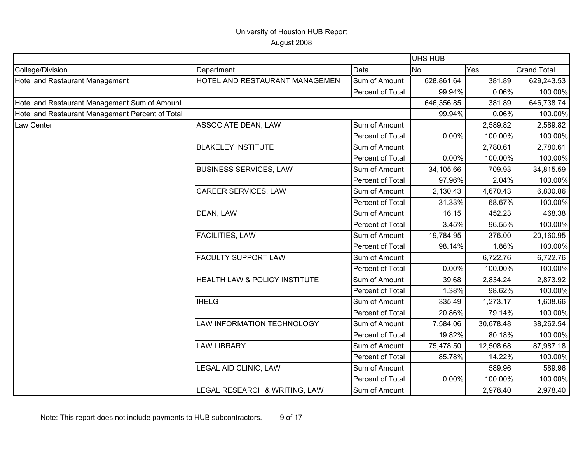|                                                  |                                |                  | <b>UHS HUB</b> |           |                    |
|--------------------------------------------------|--------------------------------|------------------|----------------|-----------|--------------------|
| College/Division                                 | Department                     | Data             | <b>No</b>      | Yes       | <b>Grand Total</b> |
| Hotel and Restaurant Management                  | HOTEL AND RESTAURANT MANAGEMEN | Sum of Amount    | 628,861.64     | 381.89    | 629,243.53         |
|                                                  |                                | Percent of Total | 99.94%         | 0.06%     | 100.00%            |
| Hotel and Restaurant Management Sum of Amount    |                                |                  | 646,356.85     | 381.89    | 646,738.74         |
| Hotel and Restaurant Management Percent of Total |                                |                  | 99.94%         | 0.06%     | 100.00%            |
| Law Center                                       | ASSOCIATE DEAN, LAW            | Sum of Amount    |                | 2,589.82  | 2,589.82           |
|                                                  |                                | Percent of Total | 0.00%          | 100.00%   | 100.00%            |
|                                                  | <b>BLAKELEY INSTITUTE</b>      | Sum of Amount    |                | 2,780.61  | 2,780.61           |
|                                                  |                                | Percent of Total | 0.00%          | 100.00%   | 100.00%            |
|                                                  | <b>BUSINESS SERVICES, LAW</b>  | Sum of Amount    | 34,105.66      | 709.93    | 34,815.59          |
|                                                  |                                | Percent of Total | 97.96%         | 2.04%     | 100.00%            |
|                                                  | CAREER SERVICES, LAW           | Sum of Amount    | 2,130.43       | 4,670.43  | 6,800.86           |
|                                                  |                                | Percent of Total | 31.33%         | 68.67%    | 100.00%            |
|                                                  | DEAN, LAW                      | Sum of Amount    | 16.15          | 452.23    | 468.38             |
|                                                  |                                | Percent of Total | 3.45%          | 96.55%    | 100.00%            |
|                                                  | <b>FACILITIES, LAW</b>         | Sum of Amount    | 19,784.95      | 376.00    | 20,160.95          |
|                                                  |                                | Percent of Total | 98.14%         | 1.86%     | 100.00%            |
|                                                  | <b>FACULTY SUPPORT LAW</b>     | Sum of Amount    |                | 6,722.76  | 6,722.76           |
|                                                  |                                | Percent of Total | 0.00%          | 100.00%   | 100.00%            |
|                                                  | HEALTH LAW & POLICY INSTITUTE  | Sum of Amount    | 39.68          | 2,834.24  | 2,873.92           |
|                                                  |                                | Percent of Total | 1.38%          | 98.62%    | 100.00%            |
|                                                  | <b>IHELG</b>                   | Sum of Amount    | 335.49         | 1,273.17  | 1,608.66           |
|                                                  |                                | Percent of Total | 20.86%         | 79.14%    | 100.00%            |
|                                                  | LAW INFORMATION TECHNOLOGY     | Sum of Amount    | 7,584.06       | 30,678.48 | 38,262.54          |
|                                                  |                                | Percent of Total | 19.82%         | 80.18%    | 100.00%            |
|                                                  | <b>LAW LIBRARY</b>             | Sum of Amount    | 75,478.50      | 12,508.68 | 87,987.18          |
|                                                  |                                | Percent of Total | 85.78%         | 14.22%    | 100.00%            |
|                                                  | LEGAL AID CLINIC, LAW          | Sum of Amount    |                | 589.96    | 589.96             |
|                                                  |                                | Percent of Total | 0.00%          | 100.00%   | 100.00%            |
|                                                  | LEGAL RESEARCH & WRITING, LAW  | Sum of Amount    |                | 2,978.40  | 2,978.40           |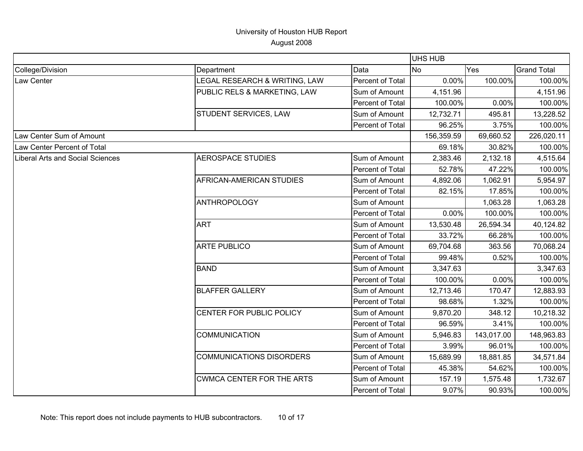| <b>UHS HUB</b>                   |                                  |                  |            |            |                    |
|----------------------------------|----------------------------------|------------------|------------|------------|--------------------|
| College/Division                 | Department                       | Data             | <b>No</b>  | Yes        | <b>Grand Total</b> |
| Law Center                       | LEGAL RESEARCH & WRITING, LAW    | Percent of Total | 0.00%      | 100.00%    | 100.00%            |
|                                  | PUBLIC RELS & MARKETING, LAW     | Sum of Amount    | 4,151.96   |            | 4,151.96           |
|                                  |                                  | Percent of Total | 100.00%    | 0.00%      | 100.00%            |
|                                  | STUDENT SERVICES, LAW            | Sum of Amount    | 12,732.71  | 495.81     | 13,228.52          |
|                                  |                                  | Percent of Total | 96.25%     | 3.75%      | 100.00%            |
| Law Center Sum of Amount         |                                  |                  | 156,359.59 | 69,660.52  | 226,020.11         |
| Law Center Percent of Total      |                                  |                  | 69.18%     | 30.82%     | 100.00%            |
| Liberal Arts and Social Sciences | <b>AEROSPACE STUDIES</b>         | Sum of Amount    | 2,383.46   | 2,132.18   | 4,515.64           |
|                                  |                                  | Percent of Total | 52.78%     | 47.22%     | 100.00%            |
|                                  | AFRICAN-AMERICAN STUDIES         | Sum of Amount    | 4,892.06   | 1,062.91   | 5,954.97           |
|                                  |                                  | Percent of Total | 82.15%     | 17.85%     | 100.00%            |
|                                  | <b>ANTHROPOLOGY</b>              | Sum of Amount    |            | 1,063.28   | 1,063.28           |
|                                  |                                  | Percent of Total | 0.00%      | 100.00%    | 100.00%            |
|                                  | <b>ART</b>                       | Sum of Amount    | 13,530.48  | 26,594.34  | 40,124.82          |
|                                  |                                  | Percent of Total | 33.72%     | 66.28%     | 100.00%            |
|                                  | <b>ARTE PUBLICO</b>              | Sum of Amount    | 69,704.68  | 363.56     | 70,068.24          |
|                                  |                                  | Percent of Total | 99.48%     | 0.52%      | 100.00%            |
|                                  | <b>BAND</b>                      | Sum of Amount    | 3,347.63   |            | 3,347.63           |
|                                  |                                  | Percent of Total | 100.00%    | 0.00%      | 100.00%            |
|                                  | <b>BLAFFER GALLERY</b>           | Sum of Amount    | 12,713.46  | 170.47     | 12,883.93          |
|                                  |                                  | Percent of Total | 98.68%     | 1.32%      | 100.00%            |
|                                  | CENTER FOR PUBLIC POLICY         | Sum of Amount    | 9,870.20   | 348.12     | 10,218.32          |
|                                  |                                  | Percent of Total | 96.59%     | 3.41%      | 100.00%            |
|                                  | <b>COMMUNICATION</b>             | Sum of Amount    | 5,946.83   | 143,017.00 | 148,963.83         |
|                                  |                                  | Percent of Total | 3.99%      | 96.01%     | 100.00%            |
|                                  | <b>COMMUNICATIONS DISORDERS</b>  | Sum of Amount    | 15,689.99  | 18,881.85  | 34,571.84          |
|                                  |                                  | Percent of Total | 45.38%     | 54.62%     | 100.00%            |
|                                  | <b>CWMCA CENTER FOR THE ARTS</b> | Sum of Amount    | 157.19     | 1,575.48   | 1,732.67           |
|                                  |                                  | Percent of Total | 9.07%      | 90.93%     | 100.00%            |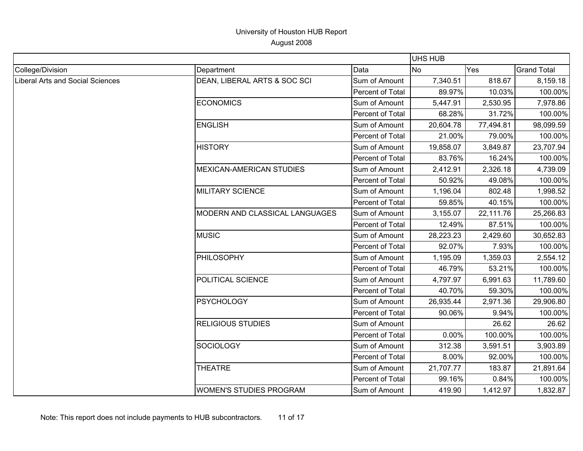|                                         |                                |                  | <b>UHS HUB</b> |           |                    |
|-----------------------------------------|--------------------------------|------------------|----------------|-----------|--------------------|
| College/Division                        | Department                     | Data             | <b>No</b>      | Yes       | <b>Grand Total</b> |
| <b>Liberal Arts and Social Sciences</b> | DEAN, LIBERAL ARTS & SOC SCI   | Sum of Amount    | 7,340.51       | 818.67    | 8,159.18           |
|                                         |                                | Percent of Total | 89.97%         | 10.03%    | 100.00%            |
|                                         | <b>ECONOMICS</b>               | Sum of Amount    | 5,447.91       | 2,530.95  | 7,978.86           |
|                                         |                                | Percent of Total | 68.28%         | 31.72%    | 100.00%            |
|                                         | <b>ENGLISH</b>                 | Sum of Amount    | 20,604.78      | 77,494.81 | 98,099.59          |
|                                         |                                | Percent of Total | 21.00%         | 79.00%    | 100.00%            |
|                                         | <b>HISTORY</b>                 | Sum of Amount    | 19,858.07      | 3,849.87  | 23,707.94          |
|                                         |                                | Percent of Total | 83.76%         | 16.24%    | 100.00%            |
|                                         | MEXICAN-AMERICAN STUDIES       | Sum of Amount    | 2,412.91       | 2,326.18  | 4,739.09           |
|                                         |                                | Percent of Total | 50.92%         | 49.08%    | 100.00%            |
|                                         | <b>MILITARY SCIENCE</b>        | Sum of Amount    | 1,196.04       | 802.48    | 1,998.52           |
|                                         |                                | Percent of Total | 59.85%         | 40.15%    | 100.00%            |
|                                         | MODERN AND CLASSICAL LANGUAGES | Sum of Amount    | 3,155.07       | 22,111.76 | 25,266.83          |
|                                         |                                | Percent of Total | 12.49%         | 87.51%    | 100.00%            |
|                                         | <b>MUSIC</b>                   | Sum of Amount    | 28,223.23      | 2,429.60  | 30,652.83          |
|                                         |                                | Percent of Total | 92.07%         | 7.93%     | 100.00%            |
|                                         | PHILOSOPHY                     | Sum of Amount    | 1,195.09       | 1,359.03  | 2,554.12           |
|                                         |                                | Percent of Total | 46.79%         | 53.21%    | 100.00%            |
|                                         | POLITICAL SCIENCE              | Sum of Amount    | 4,797.97       | 6,991.63  | 11,789.60          |
|                                         |                                | Percent of Total | 40.70%         | 59.30%    | 100.00%            |
|                                         | <b>PSYCHOLOGY</b>              | Sum of Amount    | 26,935.44      | 2,971.36  | 29,906.80          |
|                                         |                                | Percent of Total | 90.06%         | 9.94%     | 100.00%            |
|                                         | <b>RELIGIOUS STUDIES</b>       | Sum of Amount    |                | 26.62     | 26.62              |
|                                         |                                | Percent of Total | 0.00%          | 100.00%   | 100.00%            |
|                                         | SOCIOLOGY                      | Sum of Amount    | 312.38         | 3,591.51  | 3,903.89           |
|                                         |                                | Percent of Total | 8.00%          | 92.00%    | 100.00%            |
|                                         | <b>THEATRE</b>                 | Sum of Amount    | 21,707.77      | 183.87    | 21,891.64          |
|                                         |                                | Percent of Total | 99.16%         | 0.84%     | 100.00%            |
|                                         | <b>WOMEN'S STUDIES PROGRAM</b> | Sum of Amount    | 419.90         | 1,412.97  | 1,832.87           |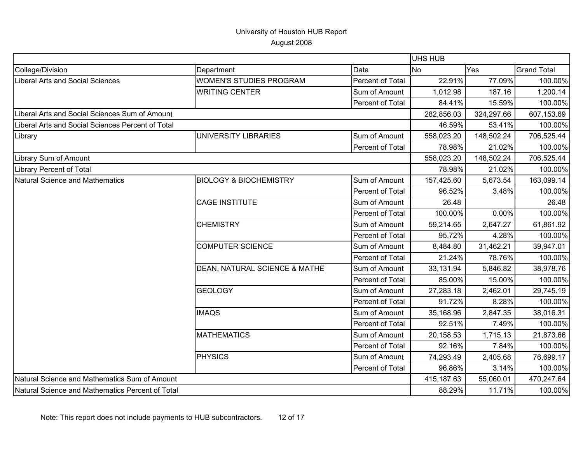|                                                   |                                   |                  | UHS HUB    |            |                    |
|---------------------------------------------------|-----------------------------------|------------------|------------|------------|--------------------|
| College/Division                                  | Department                        | Data             | No         | Yes        | <b>Grand Total</b> |
| <b>Liberal Arts and Social Sciences</b>           | <b>WOMEN'S STUDIES PROGRAM</b>    | Percent of Total | 22.91%     | 77.09%     | 100.00%            |
|                                                   | <b>WRITING CENTER</b>             | Sum of Amount    | 1,012.98   | 187.16     | 1,200.14           |
|                                                   |                                   | Percent of Total | 84.41%     | 15.59%     | 100.00%            |
| Liberal Arts and Social Sciences Sum of Amount    |                                   |                  | 282,856.03 | 324,297.66 | 607,153.69         |
| Liberal Arts and Social Sciences Percent of Total |                                   |                  | 46.59%     | 53.41%     | 100.00%            |
| Library                                           | <b>UNIVERSITY LIBRARIES</b>       | Sum of Amount    | 558,023.20 | 148,502.24 | 706,525.44         |
|                                                   |                                   | Percent of Total | 78.98%     | 21.02%     | 100.00%            |
| Library Sum of Amount                             |                                   |                  | 558,023.20 | 148,502.24 | 706,525.44         |
| <b>Library Percent of Total</b>                   |                                   |                  | 78.98%     | 21.02%     | 100.00%            |
| Natural Science and Mathematics                   | <b>BIOLOGY &amp; BIOCHEMISTRY</b> | Sum of Amount    | 157,425.60 | 5,673.54   | 163,099.14         |
|                                                   |                                   | Percent of Total | 96.52%     | 3.48%      | 100.00%            |
|                                                   | <b>CAGE INSTITUTE</b>             | Sum of Amount    | 26.48      |            | 26.48              |
|                                                   |                                   | Percent of Total | 100.00%    | 0.00%      | 100.00%            |
|                                                   | <b>CHEMISTRY</b>                  | Sum of Amount    | 59,214.65  | 2,647.27   | 61,861.92          |
|                                                   |                                   | Percent of Total | 95.72%     | 4.28%      | 100.00%            |
|                                                   | <b>COMPUTER SCIENCE</b>           | Sum of Amount    | 8,484.80   | 31,462.21  | 39,947.01          |
|                                                   |                                   | Percent of Total | 21.24%     | 78.76%     | 100.00%            |
|                                                   | DEAN, NATURAL SCIENCE & MATHE     | Sum of Amount    | 33,131.94  | 5,846.82   | 38,978.76          |
|                                                   |                                   | Percent of Total | 85.00%     | 15.00%     | 100.00%            |
|                                                   | <b>GEOLOGY</b>                    | Sum of Amount    | 27,283.18  | 2,462.01   | 29,745.19          |
|                                                   |                                   | Percent of Total | 91.72%     | 8.28%      | 100.00%            |
|                                                   | <b>IMAQS</b>                      | Sum of Amount    | 35,168.96  | 2,847.35   | 38,016.31          |
|                                                   |                                   | Percent of Total | 92.51%     | 7.49%      | 100.00%            |
|                                                   | <b>MATHEMATICS</b>                | Sum of Amount    | 20,158.53  | 1,715.13   | 21,873.66          |
|                                                   |                                   | Percent of Total | 92.16%     | 7.84%      | 100.00%            |
|                                                   | <b>PHYSICS</b>                    | Sum of Amount    | 74,293.49  | 2,405.68   | 76,699.17          |
|                                                   |                                   | Percent of Total | 96.86%     | 3.14%      | 100.00%            |
| Natural Science and Mathematics Sum of Amount     |                                   |                  | 415,187.63 | 55,060.01  | 470,247.64         |
| Natural Science and Mathematics Percent of Total  |                                   |                  | 88.29%     | 11.71%     | 100.00%            |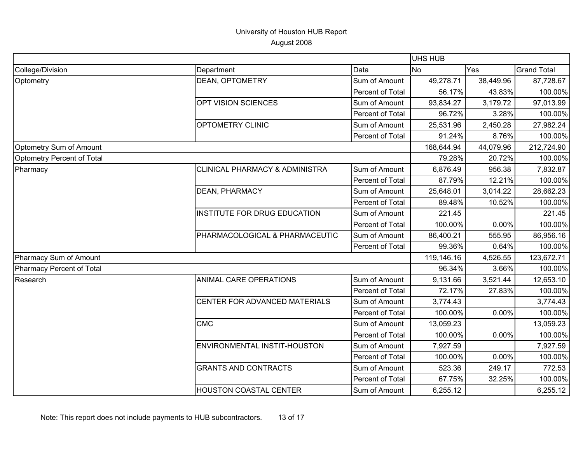|                            |                                |                  | <b>UHS HUB</b> |            |                    |
|----------------------------|--------------------------------|------------------|----------------|------------|--------------------|
| College/Division           | Department                     | Data             | <b>INo</b>     | Yes        | <b>Grand Total</b> |
| Optometry                  | <b>DEAN, OPTOMETRY</b>         | Sum of Amount    | 49,278.71      | 38,449.96  | 87,728.67          |
|                            |                                | Percent of Total | 56.17%         | 43.83%     | 100.00%            |
|                            | OPT VISION SCIENCES            | Sum of Amount    | 93,834.27      | 3,179.72   | 97,013.99          |
|                            |                                | Percent of Total | 96.72%         | 3.28%      | 100.00%            |
|                            | OPTOMETRY CLINIC               | Sum of Amount    | 25,531.96      | 2,450.28   | 27,982.24          |
|                            |                                | Percent of Total | 91.24%         | 8.76%      | 100.00%            |
| Optometry Sum of Amount    |                                |                  | 168,644.94     | 44,079.96  | 212,724.90         |
| Optometry Percent of Total |                                |                  | 79.28%         | 20.72%     | 100.00%            |
| Pharmacy                   | CLINICAL PHARMACY & ADMINISTRA | Sum of Amount    | 6,876.49       | 956.38     | 7,832.87           |
|                            |                                | Percent of Total | 87.79%         | 12.21%     | 100.00%            |
|                            | <b>DEAN, PHARMACY</b>          | Sum of Amount    | 25,648.01      | 3,014.22   | 28,662.23          |
|                            |                                | Percent of Total | 89.48%         | 10.52%     | 100.00%            |
|                            | INSTITUTE FOR DRUG EDUCATION   | Sum of Amount    | 221.45         |            | 221.45             |
|                            |                                | Percent of Total | 100.00%        | 0.00%      | 100.00%            |
|                            | PHARMACOLOGICAL & PHARMACEUTIC | Sum of Amount    | 86,400.21      | 555.95     | 86,956.16          |
|                            |                                | Percent of Total | 99.36%         | 0.64%      | 100.00%            |
| Pharmacy Sum of Amount     |                                | 119,146.16       | 4,526.55       | 123,672.71 |                    |
| Pharmacy Percent of Total  |                                |                  | 96.34%         | 3.66%      | 100.00%            |
| Research                   | ANIMAL CARE OPERATIONS         | Sum of Amount    | 9,131.66       | 3,521.44   | 12,653.10          |
|                            |                                | Percent of Total | 72.17%         | 27.83%     | 100.00%            |
|                            | CENTER FOR ADVANCED MATERIALS  | Sum of Amount    | 3,774.43       |            | 3,774.43           |
|                            |                                | Percent of Total | 100.00%        | 0.00%      | 100.00%            |
|                            | <b>CMC</b>                     | Sum of Amount    | 13,059.23      |            | 13,059.23          |
|                            |                                | Percent of Total | 100.00%        | 0.00%      | 100.00%            |
|                            | ENVIRONMENTAL INSTIT-HOUSTON   | Sum of Amount    | 7,927.59       |            | 7,927.59           |
|                            |                                | Percent of Total | 100.00%        | 0.00%      | 100.00%            |
|                            | <b>GRANTS AND CONTRACTS</b>    | Sum of Amount    | 523.36         | 249.17     | 772.53             |
|                            |                                | Percent of Total | 67.75%         | 32.25%     | 100.00%            |
|                            | <b>HOUSTON COASTAL CENTER</b>  | Sum of Amount    | 6,255.12       |            | 6,255.12           |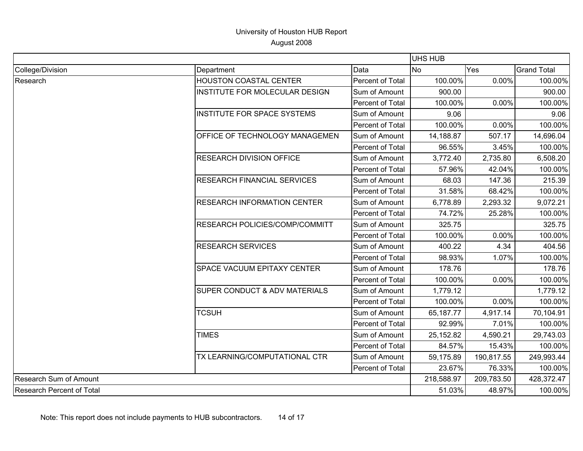|                           |                                                                                                                                                                                                                                                          |                  | UHS HUB    |            |                                                                                                                                                                                   |  |
|---------------------------|----------------------------------------------------------------------------------------------------------------------------------------------------------------------------------------------------------------------------------------------------------|------------------|------------|------------|-----------------------------------------------------------------------------------------------------------------------------------------------------------------------------------|--|
| College/Division          | Department                                                                                                                                                                                                                                               | Data             | <b>INo</b> | Yes        | <b>Grand Total</b>                                                                                                                                                                |  |
| Research                  | <b>HOUSTON COASTAL CENTER</b>                                                                                                                                                                                                                            | Percent of Total | 100.00%    | 0.00%      | 100.00%                                                                                                                                                                           |  |
|                           | INSTITUTE FOR MOLECULAR DESIGN                                                                                                                                                                                                                           | Sum of Amount    | 900.00     |            | 900.00                                                                                                                                                                            |  |
|                           |                                                                                                                                                                                                                                                          | Percent of Total | 100.00%    | 0.00%      | 100.00%                                                                                                                                                                           |  |
|                           | <b>INSTITUTE FOR SPACE SYSTEMS</b>                                                                                                                                                                                                                       | Sum of Amount    | 9.06       |            | 9.06                                                                                                                                                                              |  |
|                           |                                                                                                                                                                                                                                                          | Percent of Total | 100.00%    | 0.00%      | 100.00%                                                                                                                                                                           |  |
|                           | OFFICE OF TECHNOLOGY MANAGEMEN                                                                                                                                                                                                                           | Sum of Amount    | 14,188.87  | 507.17     | 14,696.04                                                                                                                                                                         |  |
|                           |                                                                                                                                                                                                                                                          | Percent of Total | 96.55%     | 3.45%      | 100.00%                                                                                                                                                                           |  |
|                           | <b>RESEARCH DIVISION OFFICE</b>                                                                                                                                                                                                                          | Sum of Amount    | 3,772.40   | 2,735.80   | 6,508.20                                                                                                                                                                          |  |
|                           |                                                                                                                                                                                                                                                          | Percent of Total | 57.96%     | 42.04%     | 100.00%                                                                                                                                                                           |  |
|                           | <b>RESEARCH FINANCIAL SERVICES</b><br><b>RESEARCH INFORMATION CENTER</b><br>RESEARCH POLICIES/COMP/COMMITT<br><b>RESEARCH SERVICES</b><br><b>SPACE VACUUM EPITAXY CENTER</b><br><b>SUPER CONDUCT &amp; ADV MATERIALS</b><br><b>TCSUH</b><br><b>TIMES</b> | Sum of Amount    | 68.03      | 147.36     | 215.39                                                                                                                                                                            |  |
|                           |                                                                                                                                                                                                                                                          | Percent of Total | 31.58%     | 68.42%     | 100.00%                                                                                                                                                                           |  |
|                           |                                                                                                                                                                                                                                                          | Sum of Amount    | 6,778.89   | 2,293.32   | 9,072.21                                                                                                                                                                          |  |
|                           |                                                                                                                                                                                                                                                          | Percent of Total | 74.72%     |            | 100.00%                                                                                                                                                                           |  |
|                           |                                                                                                                                                                                                                                                          | Sum of Amount    | 325.75     |            | 325.75                                                                                                                                                                            |  |
|                           |                                                                                                                                                                                                                                                          | Percent of Total | 100.00%    | 0.00%      | 100.00%                                                                                                                                                                           |  |
|                           |                                                                                                                                                                                                                                                          | Sum of Amount    | 400.22     | 4.34       | 25.28%<br>404.56<br>1.07%<br>100.00%<br>178.76<br>0.00%<br>100.00%<br>1,779.12                                                                                                    |  |
|                           |                                                                                                                                                                                                                                                          | Percent of Total | 98.93%     |            |                                                                                                                                                                                   |  |
|                           |                                                                                                                                                                                                                                                          | Sum of Amount    | 178.76     |            |                                                                                                                                                                                   |  |
|                           |                                                                                                                                                                                                                                                          | Percent of Total | 100.00%    |            |                                                                                                                                                                                   |  |
|                           |                                                                                                                                                                                                                                                          | Sum of Amount    | 1,779.12   |            | 0.00%<br>100.00%<br>70,104.91<br>4,917.14<br>7.01%<br>100.00%<br>29,743.03<br>4,590.21<br>100.00%<br>15.43%<br>249,993.44<br>76.33%<br>100.00%<br>428,372.47<br>48.97%<br>100.00% |  |
|                           |                                                                                                                                                                                                                                                          | Percent of Total | 100.00%    |            |                                                                                                                                                                                   |  |
|                           |                                                                                                                                                                                                                                                          | Sum of Amount    | 65,187.77  |            |                                                                                                                                                                                   |  |
|                           |                                                                                                                                                                                                                                                          | Percent of Total | 92.99%     |            |                                                                                                                                                                                   |  |
|                           |                                                                                                                                                                                                                                                          | Sum of Amount    | 25,152.82  |            |                                                                                                                                                                                   |  |
|                           |                                                                                                                                                                                                                                                          | Percent of Total | 84.57%     |            |                                                                                                                                                                                   |  |
|                           | TX LEARNING/COMPUTATIONAL CTR                                                                                                                                                                                                                            | Sum of Amount    | 59,175.89  | 190,817.55 |                                                                                                                                                                                   |  |
|                           |                                                                                                                                                                                                                                                          | Percent of Total | 23.67%     |            |                                                                                                                                                                                   |  |
| Research Sum of Amount    |                                                                                                                                                                                                                                                          |                  | 218,588.97 | 209,783.50 |                                                                                                                                                                                   |  |
| Research Percent of Total |                                                                                                                                                                                                                                                          |                  | 51.03%     |            |                                                                                                                                                                                   |  |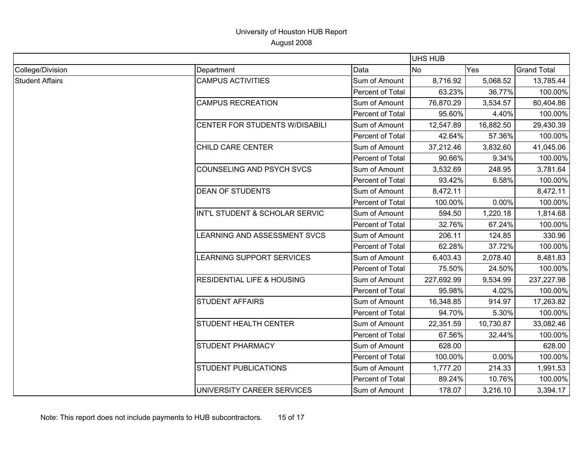|                        |                                                                                                                                                                                                                                                                           |                                                                                                                                                                           | UHS HUB                                                                                                                |                                                                       |                                                                                                |
|------------------------|---------------------------------------------------------------------------------------------------------------------------------------------------------------------------------------------------------------------------------------------------------------------------|---------------------------------------------------------------------------------------------------------------------------------------------------------------------------|------------------------------------------------------------------------------------------------------------------------|-----------------------------------------------------------------------|------------------------------------------------------------------------------------------------|
| College/Division       | Department                                                                                                                                                                                                                                                                | Data                                                                                                                                                                      | <b>No</b><br>Yes                                                                                                       | <b>Grand Total</b>                                                    |                                                                                                |
| <b>Student Affairs</b> | <b>CAMPUS ACTIVITIES</b>                                                                                                                                                                                                                                                  | Sum of Amount                                                                                                                                                             | 8,716.92                                                                                                               | 5,068.52                                                              | 13,785.44                                                                                      |
|                        |                                                                                                                                                                                                                                                                           | Percent of Total                                                                                                                                                          | 63.23%                                                                                                                 | 36.77%                                                                | 100.00%                                                                                        |
|                        | <b>CAMPUS RECREATION</b>                                                                                                                                                                                                                                                  | Sum of Amount                                                                                                                                                             | 76,870.29                                                                                                              | 3,534.57                                                              | 80,404.86                                                                                      |
|                        |                                                                                                                                                                                                                                                                           | Percent of Total                                                                                                                                                          | 95.60%                                                                                                                 | 4.40%                                                                 | 100.00%                                                                                        |
|                        | <b>CENTER FOR STUDENTS W/DISABILI</b>                                                                                                                                                                                                                                     | Sum of Amount                                                                                                                                                             | 12,547.89                                                                                                              | 16,882.50                                                             | 29,430.39                                                                                      |
|                        |                                                                                                                                                                                                                                                                           | Percent of Total                                                                                                                                                          | 42.64%                                                                                                                 | 57.36%                                                                | 100.00%                                                                                        |
|                        | CHILD CARE CENTER                                                                                                                                                                                                                                                         | Sum of Amount                                                                                                                                                             | 37,212.46                                                                                                              | 3,832.60                                                              | 41,045.06                                                                                      |
|                        |                                                                                                                                                                                                                                                                           | Percent of Total                                                                                                                                                          | 90.66%                                                                                                                 | 9.34%                                                                 | 100.00%                                                                                        |
|                        | COUNSELING AND PSYCH SVCS<br><b>DEAN OF STUDENTS</b><br>INT'L STUDENT & SCHOLAR SERVIC<br><b>EARNING AND ASSESSMENT SVCS</b><br>LEARNING SUPPORT SERVICES<br><b>RESIDENTIAL LIFE &amp; HOUSING</b><br><b>STUDENT AFFAIRS</b><br>STUDENT HEALTH CENTER<br>STUDENT PHARMACY | Sum of Amount                                                                                                                                                             | 3,532.69                                                                                                               | 248.95                                                                | 3,781.64                                                                                       |
|                        |                                                                                                                                                                                                                                                                           | Percent of Total                                                                                                                                                          | 93.42%                                                                                                                 | 6.58%                                                                 | 100.00%                                                                                        |
|                        |                                                                                                                                                                                                                                                                           | Sum of Amount                                                                                                                                                             | 8,472.11                                                                                                               |                                                                       | 8,472.11                                                                                       |
|                        |                                                                                                                                                                                                                                                                           | Percent of Total                                                                                                                                                          | 100.00%                                                                                                                | 0.00%                                                                 | 100.00%                                                                                        |
|                        |                                                                                                                                                                                                                                                                           | Sum of Amount<br>594.50<br>Percent of Total<br>32.76%<br>Sum of Amount<br>206.11<br>Percent of Total<br>62.28%<br>Sum of Amount<br>6,403.43<br>Percent of Total<br>75.50% | 1,220.18                                                                                                               | 1,814.68                                                              |                                                                                                |
|                        |                                                                                                                                                                                                                                                                           |                                                                                                                                                                           |                                                                                                                        | 67.24%                                                                | 100.00%<br>330.96<br>100.00%<br>8,481.83<br>100.00%                                            |
|                        |                                                                                                                                                                                                                                                                           |                                                                                                                                                                           |                                                                                                                        | 124.85<br>37.72%<br>2,078.40<br>24.50%<br>9,534.99<br>95.98%<br>4.02% |                                                                                                |
|                        |                                                                                                                                                                                                                                                                           |                                                                                                                                                                           |                                                                                                                        |                                                                       |                                                                                                |
|                        |                                                                                                                                                                                                                                                                           |                                                                                                                                                                           | 237,227.98<br>227,692.99<br>16,348.85<br>914.97<br>17,263.82<br>94.70%<br>5.30%<br>10,730.87<br>33,082.46<br>22,351.59 |                                                                       |                                                                                                |
|                        |                                                                                                                                                                                                                                                                           |                                                                                                                                                                           |                                                                                                                        |                                                                       |                                                                                                |
|                        |                                                                                                                                                                                                                                                                           | Sum of Amount                                                                                                                                                             |                                                                                                                        |                                                                       |                                                                                                |
|                        |                                                                                                                                                                                                                                                                           | Percent of Total                                                                                                                                                          |                                                                                                                        |                                                                       | 100.00%<br>100.00%<br>100.00%<br>628.00<br>0.00%<br>100.00%<br>1,991.53<br>100.00%<br>3,394.17 |
|                        |                                                                                                                                                                                                                                                                           | Sum of Amount                                                                                                                                                             |                                                                                                                        |                                                                       | 32.44%<br>214.33<br>10.76%                                                                     |
|                        |                                                                                                                                                                                                                                                                           | Percent of Total                                                                                                                                                          |                                                                                                                        |                                                                       |                                                                                                |
|                        |                                                                                                                                                                                                                                                                           | Sum of Amount                                                                                                                                                             |                                                                                                                        |                                                                       |                                                                                                |
|                        |                                                                                                                                                                                                                                                                           | Percent of Total                                                                                                                                                          | 67.56%                                                                                                                 |                                                                       |                                                                                                |
|                        |                                                                                                                                                                                                                                                                           | Sum of Amount                                                                                                                                                             | 628.00                                                                                                                 |                                                                       |                                                                                                |
|                        |                                                                                                                                                                                                                                                                           | Percent of Total                                                                                                                                                          | 100.00%                                                                                                                |                                                                       |                                                                                                |
|                        | STUDENT PUBLICATIONS                                                                                                                                                                                                                                                      | Sum of Amount                                                                                                                                                             | 1,777.20                                                                                                               |                                                                       |                                                                                                |
|                        |                                                                                                                                                                                                                                                                           | Percent of Total                                                                                                                                                          | 89.24%                                                                                                                 |                                                                       |                                                                                                |
|                        | UNIVERSITY CAREER SERVICES                                                                                                                                                                                                                                                | Sum of Amount                                                                                                                                                             | 178.07                                                                                                                 | 3,216.10                                                              |                                                                                                |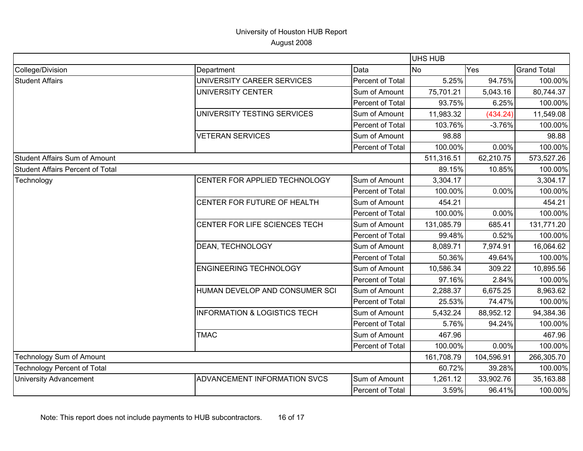|                                      |                                         |                                                                                                                                                  | <b>UHS HUB</b> |            |                    |  |
|--------------------------------------|-----------------------------------------|--------------------------------------------------------------------------------------------------------------------------------------------------|----------------|------------|--------------------|--|
| College/Division                     | Department                              | Data                                                                                                                                             | <b>INo</b>     | <b>Yes</b> | <b>Grand Total</b> |  |
| <b>Student Affairs</b>               | UNIVERSITY CAREER SERVICES              | Percent of Total                                                                                                                                 | 5.25%          | 94.75%     | 100.00%            |  |
|                                      | UNIVERSITY CENTER                       | Sum of Amount                                                                                                                                    | 75,701.21      | 5,043.16   | 80,744.37          |  |
|                                      |                                         | Percent of Total                                                                                                                                 | 93.75%         | 6.25%      | 100.00%            |  |
|                                      | UNIVERSITY TESTING SERVICES             | Sum of Amount                                                                                                                                    | 11,983.32      | (434.24)   | 11,549.08          |  |
|                                      |                                         | Percent of Total                                                                                                                                 | 103.76%        | $-3.76%$   | 100.00%            |  |
|                                      | <b>VETERAN SERVICES</b>                 | Sum of Amount                                                                                                                                    | 98.88          |            | 98.88              |  |
|                                      |                                         | Percent of Total                                                                                                                                 | 100.00%        | 0.00%      | 100.00%            |  |
| <b>Student Affairs Sum of Amount</b> |                                         |                                                                                                                                                  | 511,316.51     | 62,210.75  | 573,527.26         |  |
| Student Affairs Percent of Total     |                                         |                                                                                                                                                  | 89.15%         | 10.85%     | 100.00%            |  |
| Technology                           | CENTER FOR APPLIED TECHNOLOGY           | Sum of Amount                                                                                                                                    | 3,304.17       |            | 3,304.17           |  |
|                                      |                                         | Percent of Total                                                                                                                                 | 100.00%        | 0.00%      | 100.00%            |  |
|                                      | CENTER FOR FUTURE OF HEALTH             | Sum of Amount                                                                                                                                    | 454.21         |            | 454.21             |  |
|                                      |                                         | Percent of Total                                                                                                                                 | 100.00%        | 0.00%      | 100.00%            |  |
|                                      | CENTER FOR LIFE SCIENCES TECH           | Sum of Amount                                                                                                                                    | 131,085.79     | 685.41     | 131,771.20         |  |
|                                      |                                         | Percent of Total                                                                                                                                 | 99.48%         | 0.52%      | 100.00%            |  |
|                                      | DEAN, TECHNOLOGY                        | Sum of Amount                                                                                                                                    | 8,089.71       | 7,974.91   | 16,064.62          |  |
|                                      |                                         | Percent of Total                                                                                                                                 | 50.36%         | 49.64%     | 100.00%            |  |
|                                      | <b>ENGINEERING TECHNOLOGY</b>           | Sum of Amount                                                                                                                                    | 10,586.34      | 309.22     | 10,895.56          |  |
|                                      |                                         | Percent of Total                                                                                                                                 | 97.16%         | 2.84%      | 100.00%            |  |
|                                      | HUMAN DEVELOP AND CONSUMER SCI          | Sum of Amount<br>Percent of Total<br>Sum of Amount<br>Percent of Total<br>Sum of Amount<br>Percent of Total<br>Sum of Amount<br>Percent of Total | 2,288.37       | 6,675.25   | 8,963.62           |  |
|                                      |                                         |                                                                                                                                                  | 25.53%         | 74.47%     | 100.00%            |  |
|                                      | <b>INFORMATION &amp; LOGISTICS TECH</b> |                                                                                                                                                  | 5,432.24       | 88,952.12  | 94,384.36          |  |
|                                      |                                         |                                                                                                                                                  | 5.76%          | 94.24%     | 100.00%            |  |
|                                      | <b>TMAC</b>                             |                                                                                                                                                  | 467.96         |            | 467.96             |  |
|                                      |                                         |                                                                                                                                                  | 100.00%        | 0.00%      | 100.00%            |  |
| Technology Sum of Amount             |                                         | 161,708.79                                                                                                                                       | 104,596.91     | 266,305.70 |                    |  |
| <b>Technology Percent of Total</b>   |                                         | 60.72%                                                                                                                                           | 39.28%         | 100.00%    |                    |  |
| <b>University Advancement</b>        | ADVANCEMENT INFORMATION SVCS            |                                                                                                                                                  | 1,261.12       | 33,902.76  | 35,163.88          |  |
|                                      |                                         |                                                                                                                                                  | 3.59%          | 96.41%     | 100.00%            |  |